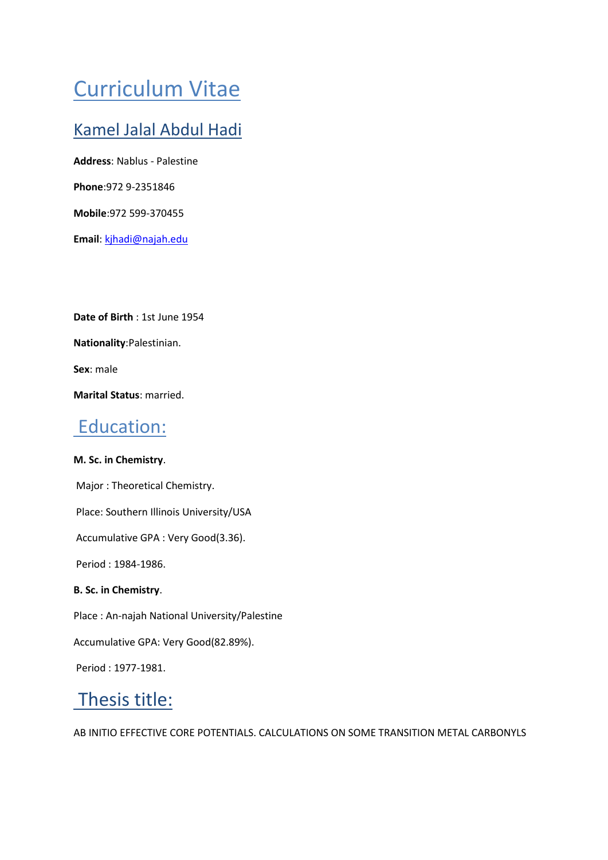# Curriculum Vitae

# Kamel Jalal Abdul Hadi

**Address**: Nablus - Palestine

**Phone**:972 9-2351846

**Mobile**:972 599-370455

**Email**: kjhadi@najah.edu

**Date of Birth** : 1st June 1954

**Nationality**:Palestinian.

**Sex**: male

**Marital Status**: married.

# Education:

#### **M. Sc. in Chemistry**.

Major : Theoretical Chemistry. Place: Southern Illinois University/USA Accumulative GPA : Very Good(3.36). Period : 1984-1986. **B. Sc. in Chemistry**. Place : An-najah National University/Palestine

Accumulative GPA: Very Good(82.89%).

Period : 1977-1981.

# Thesis title:

AB INITIO EFFECTIVE CORE POTENTIALS. CALCULATIONS ON SOME TRANSITION METAL CARBONYLS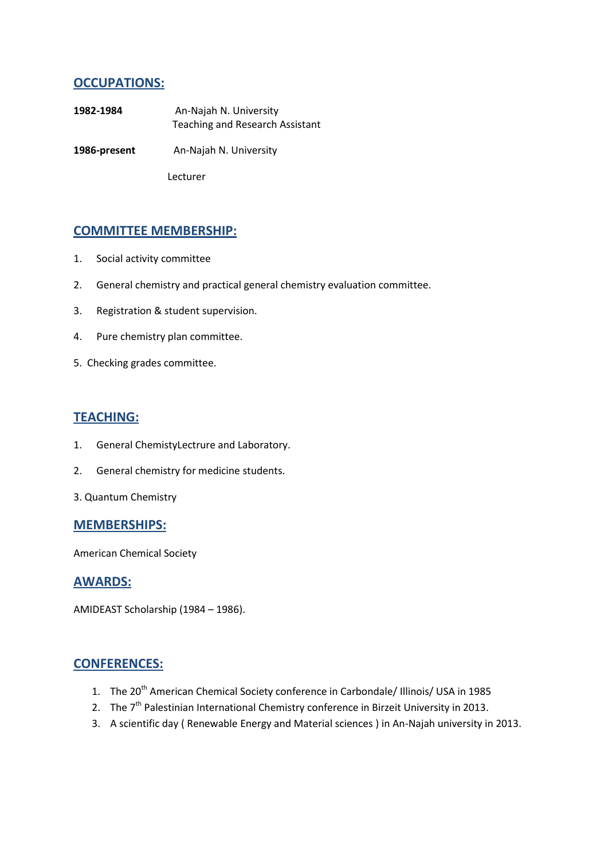### **OCCUPATIONS:**

- **1982-1984** An-Najah N. University Teaching and Research Assistant
- 1986-present An-Najah N. University

Lecturer

### **COMMITTEE MEMBERSHIP:**

- 1. Social activity committee
- 2. General chemistry and practical general chemistry evaluation committee.
- 3. Registration & student supervision.
- 4. Pure chemistry plan committee.
- 5. Checking grades committee.

#### **TEACHING:**

- 1. General ChemistyLectrure and Laboratory.
- 2. General chemistry for medicine students.
- 3. Quantum Chemistry

#### **MEMBERSHIPS:**

American Chemical Society

#### **AWARDS:**

AMIDEAST Scholarship (1984 – 1986).

#### **CONFERENCES:**

- 1. The 20<sup>th</sup> American Chemical Society conference in Carbondale/ Illinois/ USA in 1985
- 2. The  $7<sup>th</sup>$  Palestinian International Chemistry conference in Birzeit University in 2013.
- 3. A scientific day ( Renewable Energy and Material sciences ) in An-Najah university in 2013.